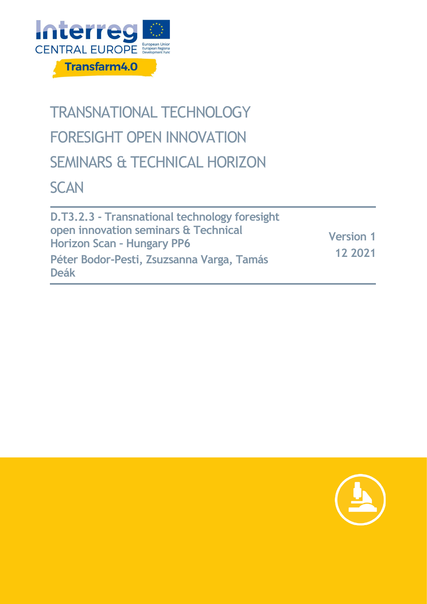

# TRANSNATIONAL TECHNOLOGY FORESIGHT OPEN INNOVATION SEMINARS & TECHNICAL HORIZON **SCAN**

**D.T3.2.3 - Transnational technology foresight open innovation seminars & Technical Horizon Scan – Hungary PP6 Péter Bodor-Pesti, Zsuzsanna Varga, Tamás Deák Version 1 12 2021**

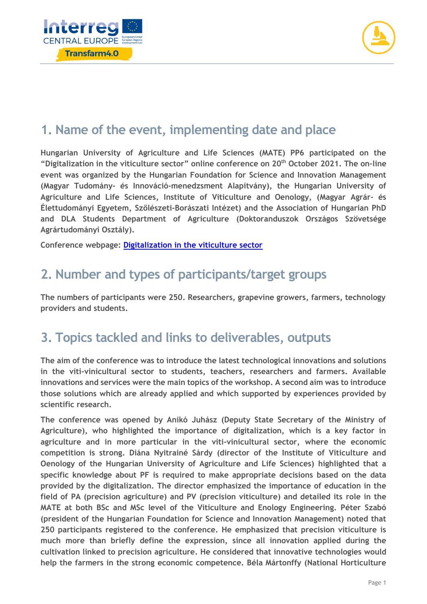



#### **1. Name of the event, implementing date and place**

**Hungarian University of Agriculture and Life Sciences (MATE) PP6 participated on the "Digitalization in the viticulture sector" online conference on 20th October 2021. The on-line event was organized by the Hungarian Foundation for Science and Innovation Management (Magyar Tudomány- és Innováció-menedzsment Alapítvány), the Hungarian University of Agriculture and Life Sciences, Institute of Viticulture and Oenology, (Magyar Agrár- és Élettudományi Egyetem, Szőlészeti-Borászati Intézet) and the Association of Hungarian PhD and DLA Students Department of Agriculture (Doktoranduszok Országos Szövetsége Agrártudományi Osztály).** 

**Conference webpage: [Digitalization in the viticulture sector](http://tudomanyesinnovacio.com/digitalizacio-a-szoleszeti-boraszati-agazatban-online-konferencia)**

#### **2. Number and types of participants/target groups**

**The numbers of participants were 250. Researchers, grapevine growers, farmers, technology providers and students.** 

#### **3. Topics tackled and links to deliverables, outputs**

**The aim of the conference was to introduce the latest technological innovations and solutions in the viti-vinicultural sector to students, teachers, researchers and farmers. Available innovations and services were the main topics of the workshop. A second aim was to introduce those solutions which are already applied and which supported by experiences provided by scientific research.** 

**The conference was opened by Anikó Juhász (Deputy State Secretary of the Ministry of Agriculture), who highlighted the importance of digitalization, which is a key factor in agriculture and in more particular in the viti-vinicultural sector, where the economic competition is strong. Diána Nyitrainé Sárdy (director of the Institute of Viticulture and Oenology of the Hungarian University of Agriculture and Life Sciences) highlighted that a specific knowledge about PF is required to make appropriate decisions based on the data provided by the digitalization. The director emphasized the importance of education in the field of PA (precision agriculture) and PV (precision viticulture) and detailed its role in the MATE at both BSc and MSc level of the Viticulture and Enology Engineering. Péter Szabó (president of the Hungarian Foundation for Science and Innovation Management) noted that 250 participants registered to the conference. He emphasized that precision viticulture is much more than briefly define the expression, since all innovation applied during the cultivation linked to precision agriculture. He considered that innovative technologies would help the farmers in the strong economic competence. Béla Mártonffy (National Horticulture**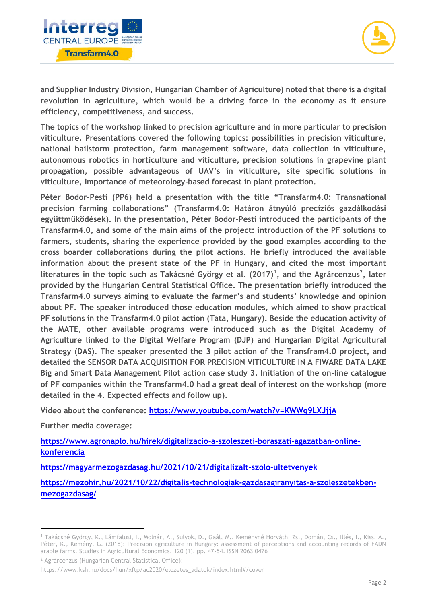



**and Supplier Industry Division, Hungarian Chamber of Agriculture) noted that there is a digital revolution in agriculture, which would be a driving force in the economy as it ensure efficiency, competitiveness, and success.** 

**The topics of the workshop linked to precision agriculture and in more particular to precision viticulture. Presentations covered the following topics: possibilities in precision viticulture, national hailstorm protection, farm management software, data collection in viticulture, autonomous robotics in horticulture and viticulture, precision solutions in grapevine plant propagation, possible advantageous of UAV's in viticulture, site specific solutions in viticulture, importance of meteorology-based forecast in plant protection.** 

**Péter Bodor-Pesti (PP6) held a presentation with the title "Transfarm4.0: Transnational precision farming collaborations" (Transfarm4.0: Határon átnyúló precíziós gazdálkodási együttműködések). In the presentation, Péter Bodor-Pesti introduced the participants of the Transfarm4.0, and some of the main aims of the project: introduction of the PF solutions to farmers, students, sharing the experience provided by the good examples according to the cross boarder collaborations during the pilot actions. He briefly introduced the available information about the present state of the PF in Hungary, and cited the most important literatures in the topic such as Takácsné György et al. (2017)<sup>1</sup> , and the Agrárcenzus<sup>2</sup> , later provided by the Hungarian Central Statistical Office. The presentation briefly introduced the Transfarm4.0 surveys aiming to evaluate the farmer's and students' knowledge and opinion about PF. The speaker introduced those education modules, which aimed to show practical PF solutions in the Transfarm4.0 pilot action (Tata, Hungary). Beside the education activity of the MATE, other available programs were introduced such as the Digital Academy of Agriculture linked to the Digital Welfare Program (DJP) and Hungarian Digital Agricultural Strategy (DAS). The speaker presented the 3 pilot action of the Transfram4.0 project, and detailed the SENSOR DATA ACQUISITION FOR PRECISION VITICULTURE IN A FIWARE DATA LAKE Big and Smart Data Management Pilot action case study 3. Initiation of the on-line catalogue of PF companies within the Transfarm4.0 had a great deal of interest on the workshop (more detailed in the 4. Expected effects and follow up).** 

**Video about the conference:<https://www.youtube.com/watch?v=KWWq9LXJjjA>**

**Further media coverage:** 

 $\overline{a}$ 

**[https://www.agronaplo.hu/hirek/digitalizacio-a-szoleszeti-boraszati-agazatban-online](https://www.agronaplo.hu/hirek/digitalizacio-a-szoleszeti-boraszati-agazatban-online-konferencia)[konferencia](https://www.agronaplo.hu/hirek/digitalizacio-a-szoleszeti-boraszati-agazatban-online-konferencia)**

**<https://magyarmezogazdasag.hu/2021/10/21/digitalizalt-szolo-ultetvenyek>**

**[https://mezohir.hu/2021/10/22/digitalis-technologiak-gazdasagiranyitas-a-szoleszetekben](https://mezohir.hu/2021/10/22/digitalis-technologiak-gazdasagiranyitas-a-szoleszetekben-mezogazdasag/)[mezogazdasag/](https://mezohir.hu/2021/10/22/digitalis-technologiak-gazdasagiranyitas-a-szoleszetekben-mezogazdasag/)**

<sup>2</sup> Agrárcenzus (Hungarian Central Statistical Office):

<sup>1</sup> Takácsné György, K., Lámfalusi, I., Molnár, A., Sulyok, D., Gaál, M., Keményné Horváth, Zs., Domán, Cs., Illés, I., Kiss, A., Péter, K., Kemény, G. (2018): Precision agriculture in Hungary: assessment of perceptions and accounting records of FADN arable farms. Studies in Agricultural Economics, 120 (1). pp. 47-54. ISSN 2063 0476

https://www.ksh.hu/docs/hun/xftp/ac2020/elozetes\_adatok/index.html#/cover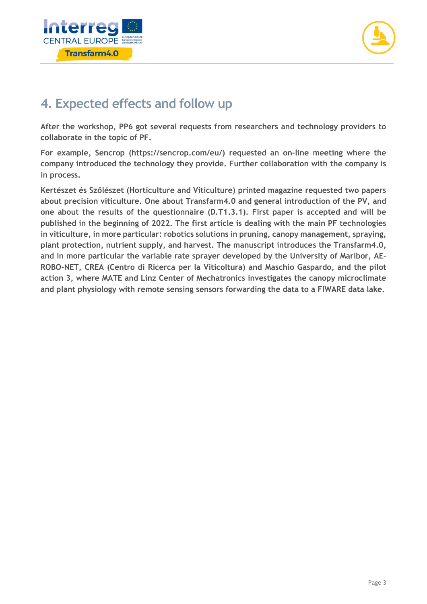



### **4. Expected effects and follow up**

**After the workshop, PP6 got several requests from researchers and technology providers to collaborate in the topic of PF.**

**For example, Sencrop (https://sencrop.com/eu/) requested an on-line meeting where the company introduced the technology they provide. Further collaboration with the company is in process.**

**Kertészet és Szőlészet (Horticulture and Viticulture) printed magazine requested two papers about precision viticulture. One about Transfarm4.0 and general introduction of the PV, and one about the results of the questionnaire (D.T1.3.1). First paper is accepted and will be published in the beginning of 2022. The first article is dealing with the main PF technologies in viticulture, in more particular: robotics solutions in pruning, canopy management, spraying, plant protection, nutrient supply, and harvest. The manuscript introduces the Transfarm4.0, and in more particular the variable rate sprayer developed by the University of Maribor, AE-ROBO-NET, CREA (Centro di Ricerca per la Viticoltura) and Maschio Gaspardo, and the pilot action 3, where MATE and Linz Center of Mechatronics investigates the canopy microclimate and plant physiology with remote sensing sensors forwarding the data to a FIWARE data lake.**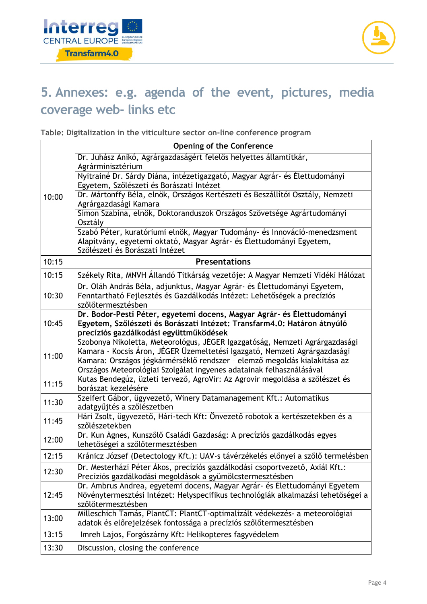



## **5. Annexes: e.g. agenda of the event, pictures, media coverage web- links etc**

**Table: Digitalization in the viticulture sector on-line conference program** 

|                | <b>Opening of the Conference</b>                                                                        |
|----------------|---------------------------------------------------------------------------------------------------------|
| 10:00          | Dr. Juhász Anikó, Agrárgazdaságért felelős helyettes államtitkár,                                       |
|                | Agrárminisztérium                                                                                       |
|                | Nyitrainé Dr. Sárdy Diána, intézetigazgató, Magyar Agrár- és Élettudományi                              |
|                | Egyetem, Szőlészeti és Borászati Intézet                                                                |
|                | Dr. Mártonffy Béla, elnök, Országos Kertészeti és Beszállítói Osztály, Nemzeti<br>Agrárgazdasági Kamara |
|                | Simon Szabina, elnök, Doktoranduszok Országos Szövetsége Agrártudományi<br>Osztály                      |
|                | Szabó Péter, kuratóriumi elnök, Magyar Tudomány- és Innováció-menedzsment                               |
|                | Alapítvány, egyetemi oktató, Magyar Agrár- és Élettudományi Egyetem,                                    |
|                | Szőlészeti és Borászati Intézet                                                                         |
| 10:15          | <b>Presentations</b>                                                                                    |
| 10:15          | Székely Rita, MNVH Állandó Titkárság vezetője: A Magyar Nemzeti Vidéki Hálózat                          |
| 10:30          | Dr. Oláh András Béla, adjunktus, Magyar Agrár- és Élettudományi Egyetem,                                |
|                | Fenntartható Fejlesztés és Gazdálkodás Intézet: Lehetőségek a precíziós                                 |
|                | szőlőtermesztésben                                                                                      |
| 10:45          | Dr. Bodor-Pesti Péter, egyetemi docens, Magyar Agrár- és Élettudományi                                  |
|                | Egyetem, Szőlészeti és Borászati Intézet: Transfarm4.0: Határon átnyúló                                 |
|                | precíziós gazdálkodási együttműködések                                                                  |
| 11:00<br>11:15 | Szobonya Nikoletta, Meteorológus, JÉGER Igazgatóság, Nemzeti Agrárgazdasági                             |
|                | Kamara - Kocsis Áron, JÉGER Üzemeltetési Igazgató, Nemzeti Agrárgazdasági                               |
|                | Kamara: Országos jégkármérséklő rendszer - elemző megoldás kialakítása az                               |
|                | Országos Meteorológiai Szolgálat ingyenes adatainak felhasználásával                                    |
|                | Kutas Bendegúz, üzleti tervező, AgroVir: Az Agrovir megoldása a szőlészet és<br>borászat kezelésére     |
| 11:30          | Szeifert Gábor, ügyvezető, Winery Datamanagement Kft.: Automatikus                                      |
|                | adatgyűjtés a szőlészetben                                                                              |
| 11:45          | Hári Zsolt, ügyvezető, Hári-tech Kft: Önvezető robotok a kertészetekben és a                            |
|                | szőlészetekben                                                                                          |
| 12:00          | Dr. Kun Ágnes, Kunszőlő Családi Gazdaság: A precíziós gazdálkodás egyes                                 |
|                | lehetőségei a szőlőtermesztésben                                                                        |
| 12:15          | Kránicz József (Detectology Kft.): UAV-s távérzékelés előnyei a szőlő termelésben                       |
| 12:30          | Dr. Mesterházi Péter Ákos, precíziós gazdálkodási csoportvezető, Axiál Kft.:                            |
|                | Precíziós gazdálkodási megoldások a gyümölcstermesztésben                                               |
| 12:45          | Dr. Ambrus Andrea, egyetemi docens, Magyar Agrár- és Élettudományi Egyetem                              |
|                | Növénytermesztési Intézet: Helyspecifikus technológiák alkalmazási lehetőségei a                        |
|                | szőlőtermesztésben                                                                                      |
| 13:00          | Milleschich Tamás, PlantCT: PlantCT-optimalizált védekezés- a meteorológiai                             |
|                | adatok és előrejelzések fontossága a precíziós szőlőtermesztésben                                       |
| 13:15          | Imreh Lajos, Forgószárny Kft: Helikopteres fagyvédelem                                                  |
| 13:30          | Discussion, closing the conference                                                                      |